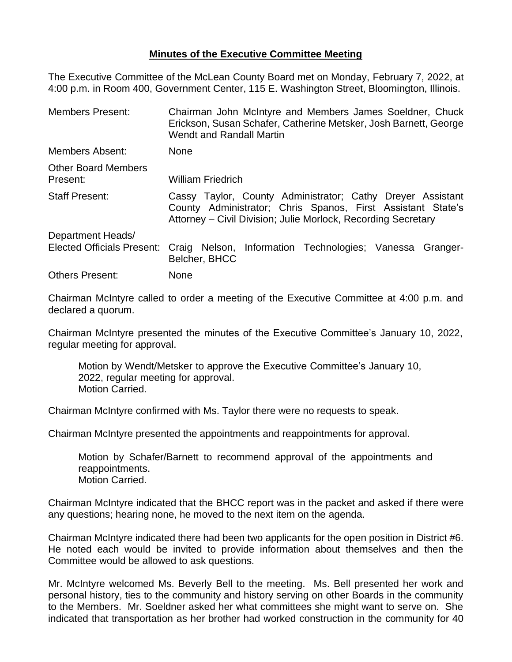## **Minutes of the Executive Committee Meeting**

The Executive Committee of the McLean County Board met on Monday, February 7, 2022, at 4:00 p.m. in Room 400, Government Center, 115 E. Washington Street, Bloomington, Illinois.

| <b>Members Present:</b>                | Chairman John McIntyre and Members James Soeldner, Chuck<br>Erickson, Susan Schafer, Catherine Metsker, Josh Barnett, George<br><b>Wendt and Randall Martin</b>                            |  |  |
|----------------------------------------|--------------------------------------------------------------------------------------------------------------------------------------------------------------------------------------------|--|--|
| Members Absent:                        | <b>None</b>                                                                                                                                                                                |  |  |
| <b>Other Board Members</b><br>Present: | <b>William Friedrich</b>                                                                                                                                                                   |  |  |
| <b>Staff Present:</b>                  | Cassy Taylor, County Administrator; Cathy Dreyer Assistant<br>County Administrator; Chris Spanos, First Assistant State's<br>Attorney – Civil Division; Julie Morlock, Recording Secretary |  |  |
| Department Heads/                      |                                                                                                                                                                                            |  |  |
| <b>Elected Officials Present:</b>      | Craig Nelson, Information Technologies; Vanessa Granger-<br>Belcher, BHCC                                                                                                                  |  |  |
| <b>Others Present:</b>                 | None                                                                                                                                                                                       |  |  |

Chairman McIntyre called to order a meeting of the Executive Committee at 4:00 p.m. and declared a quorum.

Chairman McIntyre presented the minutes of the Executive Committee's January 10, 2022, regular meeting for approval.

Motion by Wendt/Metsker to approve the Executive Committee's January 10, 2022, regular meeting for approval. Motion Carried.

Chairman McIntyre confirmed with Ms. Taylor there were no requests to speak.

Chairman McIntyre presented the appointments and reappointments for approval.

Motion by Schafer/Barnett to recommend approval of the appointments and reappointments. Motion Carried.

Chairman McIntyre indicated that the BHCC report was in the packet and asked if there were any questions; hearing none, he moved to the next item on the agenda.

Chairman McIntyre indicated there had been two applicants for the open position in District #6. He noted each would be invited to provide information about themselves and then the Committee would be allowed to ask questions.

Mr. McIntyre welcomed Ms. Beverly Bell to the meeting. Ms. Bell presented her work and personal history, ties to the community and history serving on other Boards in the community to the Members. Mr. Soeldner asked her what committees she might want to serve on. She indicated that transportation as her brother had worked construction in the community for 40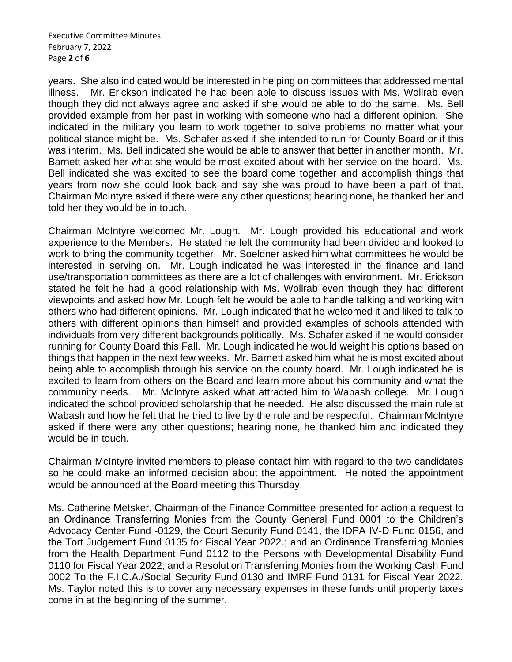Executive Committee Minutes February 7, 2022 Page **2** of **6**

years. She also indicated would be interested in helping on committees that addressed mental illness. Mr. Erickson indicated he had been able to discuss issues with Ms. Wollrab even though they did not always agree and asked if she would be able to do the same. Ms. Bell provided example from her past in working with someone who had a different opinion. She indicated in the military you learn to work together to solve problems no matter what your political stance might be. Ms. Schafer asked if she intended to run for County Board or if this was interim. Ms. Bell indicated she would be able to answer that better in another month. Mr. Barnett asked her what she would be most excited about with her service on the board. Ms. Bell indicated she was excited to see the board come together and accomplish things that years from now she could look back and say she was proud to have been a part of that. Chairman McIntyre asked if there were any other questions; hearing none, he thanked her and told her they would be in touch.

Chairman McIntyre welcomed Mr. Lough. Mr. Lough provided his educational and work experience to the Members. He stated he felt the community had been divided and looked to work to bring the community together. Mr. Soeldner asked him what committees he would be interested in serving on. Mr. Lough indicated he was interested in the finance and land use/transportation committees as there are a lot of challenges with environment. Mr. Erickson stated he felt he had a good relationship with Ms. Wollrab even though they had different viewpoints and asked how Mr. Lough felt he would be able to handle talking and working with others who had different opinions. Mr. Lough indicated that he welcomed it and liked to talk to others with different opinions than himself and provided examples of schools attended with individuals from very different backgrounds politically. Ms. Schafer asked if he would consider running for County Board this Fall. Mr. Lough indicated he would weight his options based on things that happen in the next few weeks. Mr. Barnett asked him what he is most excited about being able to accomplish through his service on the county board. Mr. Lough indicated he is excited to learn from others on the Board and learn more about his community and what the community needs. Mr. McIntyre asked what attracted him to Wabash college. Mr. Lough indicated the school provided scholarship that he needed. He also discussed the main rule at Wabash and how he felt that he tried to live by the rule and be respectful. Chairman McIntyre asked if there were any other questions; hearing none, he thanked him and indicated they would be in touch.

Chairman McIntyre invited members to please contact him with regard to the two candidates so he could make an informed decision about the appointment. He noted the appointment would be announced at the Board meeting this Thursday.

Ms. Catherine Metsker, Chairman of the Finance Committee presented for action a request to an Ordinance Transferring Monies from the County General Fund 0001 to the Children's Advocacy Center Fund -0129, the Court Security Fund 0141, the IDPA IV-D Fund 0156, and the Tort Judgement Fund 0135 for Fiscal Year 2022.; and an Ordinance Transferring Monies from the Health Department Fund 0112 to the Persons with Developmental Disability Fund 0110 for Fiscal Year 2022; and a Resolution Transferring Monies from the Working Cash Fund 0002 To the F.I.C.A./Social Security Fund 0130 and IMRF Fund 0131 for Fiscal Year 2022. Ms. Taylor noted this is to cover any necessary expenses in these funds until property taxes come in at the beginning of the summer.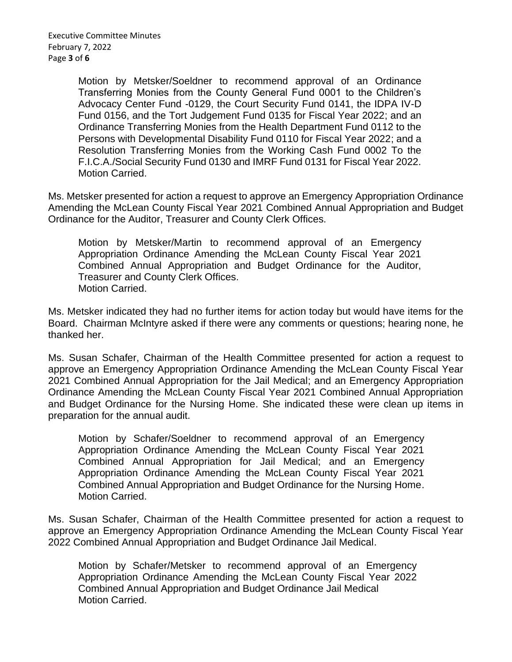Executive Committee Minutes February 7, 2022 Page **3** of **6**

> Motion by Metsker/Soeldner to recommend approval of an Ordinance Transferring Monies from the County General Fund 0001 to the Children's Advocacy Center Fund -0129, the Court Security Fund 0141, the IDPA IV-D Fund 0156, and the Tort Judgement Fund 0135 for Fiscal Year 2022; and an Ordinance Transferring Monies from the Health Department Fund 0112 to the Persons with Developmental Disability Fund 0110 for Fiscal Year 2022; and a Resolution Transferring Monies from the Working Cash Fund 0002 To the F.I.C.A./Social Security Fund 0130 and IMRF Fund 0131 for Fiscal Year 2022. Motion Carried.

Ms. Metsker presented for action a request to approve an Emergency Appropriation Ordinance Amending the McLean County Fiscal Year 2021 Combined Annual Appropriation and Budget Ordinance for the Auditor, Treasurer and County Clerk Offices.

Motion by Metsker/Martin to recommend approval of an Emergency Appropriation Ordinance Amending the McLean County Fiscal Year 2021 Combined Annual Appropriation and Budget Ordinance for the Auditor, Treasurer and County Clerk Offices. Motion Carried.

Ms. Metsker indicated they had no further items for action today but would have items for the Board. Chairman McIntyre asked if there were any comments or questions; hearing none, he thanked her.

Ms. Susan Schafer, Chairman of the Health Committee presented for action a request to approve an Emergency Appropriation Ordinance Amending the McLean County Fiscal Year 2021 Combined Annual Appropriation for the Jail Medical; and an Emergency Appropriation Ordinance Amending the McLean County Fiscal Year 2021 Combined Annual Appropriation and Budget Ordinance for the Nursing Home. She indicated these were clean up items in preparation for the annual audit.

Motion by Schafer/Soeldner to recommend approval of an Emergency Appropriation Ordinance Amending the McLean County Fiscal Year 2021 Combined Annual Appropriation for Jail Medical; and an Emergency Appropriation Ordinance Amending the McLean County Fiscal Year 2021 Combined Annual Appropriation and Budget Ordinance for the Nursing Home. Motion Carried.

Ms. Susan Schafer, Chairman of the Health Committee presented for action a request to approve an Emergency Appropriation Ordinance Amending the McLean County Fiscal Year 2022 Combined Annual Appropriation and Budget Ordinance Jail Medical.

Motion by Schafer/Metsker to recommend approval of an Emergency Appropriation Ordinance Amending the McLean County Fiscal Year 2022 Combined Annual Appropriation and Budget Ordinance Jail Medical Motion Carried.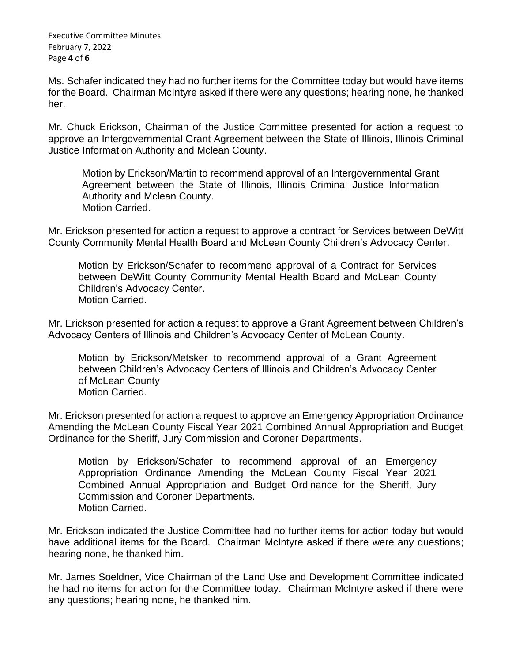Executive Committee Minutes February 7, 2022 Page **4** of **6**

Ms. Schafer indicated they had no further items for the Committee today but would have items for the Board. Chairman McIntyre asked if there were any questions; hearing none, he thanked her.

Mr. Chuck Erickson, Chairman of the Justice Committee presented for action a request to approve an Intergovernmental Grant Agreement between the State of Illinois, Illinois Criminal Justice Information Authority and Mclean County.

Motion by Erickson/Martin to recommend approval of an Intergovernmental Grant Agreement between the State of Illinois, Illinois Criminal Justice Information Authority and Mclean County. Motion Carried.

Mr. Erickson presented for action a request to approve a contract for Services between DeWitt County Community Mental Health Board and McLean County Children's Advocacy Center.

Motion by Erickson/Schafer to recommend approval of a Contract for Services between DeWitt County Community Mental Health Board and McLean County Children's Advocacy Center. Motion Carried.

Mr. Erickson presented for action a request to approve a Grant Agreement between Children's Advocacy Centers of Illinois and Children's Advocacy Center of McLean County.

Motion by Erickson/Metsker to recommend approval of a Grant Agreement between Children's Advocacy Centers of Illinois and Children's Advocacy Center of McLean County Motion Carried.

Mr. Erickson presented for action a request to approve an Emergency Appropriation Ordinance Amending the McLean County Fiscal Year 2021 Combined Annual Appropriation and Budget Ordinance for the Sheriff, Jury Commission and Coroner Departments.

Motion by Erickson/Schafer to recommend approval of an Emergency Appropriation Ordinance Amending the McLean County Fiscal Year 2021 Combined Annual Appropriation and Budget Ordinance for the Sheriff, Jury Commission and Coroner Departments. Motion Carried.

Mr. Erickson indicated the Justice Committee had no further items for action today but would have additional items for the Board. Chairman McIntyre asked if there were any questions; hearing none, he thanked him.

Mr. James Soeldner, Vice Chairman of the Land Use and Development Committee indicated he had no items for action for the Committee today. Chairman McIntyre asked if there were any questions; hearing none, he thanked him.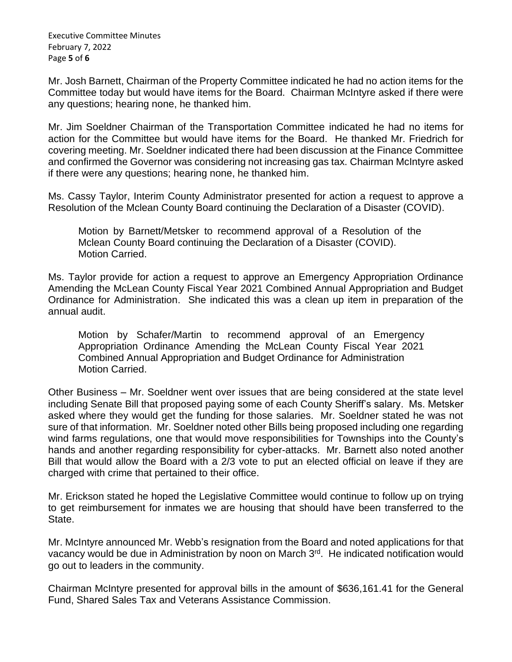Executive Committee Minutes February 7, 2022 Page **5** of **6**

Mr. Josh Barnett, Chairman of the Property Committee indicated he had no action items for the Committee today but would have items for the Board. Chairman McIntyre asked if there were any questions; hearing none, he thanked him.

Mr. Jim Soeldner Chairman of the Transportation Committee indicated he had no items for action for the Committee but would have items for the Board. He thanked Mr. Friedrich for covering meeting. Mr. Soeldner indicated there had been discussion at the Finance Committee and confirmed the Governor was considering not increasing gas tax. Chairman McIntyre asked if there were any questions; hearing none, he thanked him.

Ms. Cassy Taylor, Interim County Administrator presented for action a request to approve a Resolution of the Mclean County Board continuing the Declaration of a Disaster (COVID).

Motion by Barnett/Metsker to recommend approval of a Resolution of the Mclean County Board continuing the Declaration of a Disaster (COVID). Motion Carried.

Ms. Taylor provide for action a request to approve an Emergency Appropriation Ordinance Amending the McLean County Fiscal Year 2021 Combined Annual Appropriation and Budget Ordinance for Administration. She indicated this was a clean up item in preparation of the annual audit.

Motion by Schafer/Martin to recommend approval of an Emergency Appropriation Ordinance Amending the McLean County Fiscal Year 2021 Combined Annual Appropriation and Budget Ordinance for Administration Motion Carried.

Other Business – Mr. Soeldner went over issues that are being considered at the state level including Senate Bill that proposed paying some of each County Sheriff's salary. Ms. Metsker asked where they would get the funding for those salaries. Mr. Soeldner stated he was not sure of that information. Mr. Soeldner noted other Bills being proposed including one regarding wind farms regulations, one that would move responsibilities for Townships into the County's hands and another regarding responsibility for cyber-attacks. Mr. Barnett also noted another Bill that would allow the Board with a 2/3 vote to put an elected official on leave if they are charged with crime that pertained to their office.

Mr. Erickson stated he hoped the Legislative Committee would continue to follow up on trying to get reimbursement for inmates we are housing that should have been transferred to the State.

Mr. McIntyre announced Mr. Webb's resignation from the Board and noted applications for that vacancy would be due in Administration by noon on March 3rd. He indicated notification would go out to leaders in the community.

Chairman McIntyre presented for approval bills in the amount of \$636,161.41 for the General Fund, Shared Sales Tax and Veterans Assistance Commission.